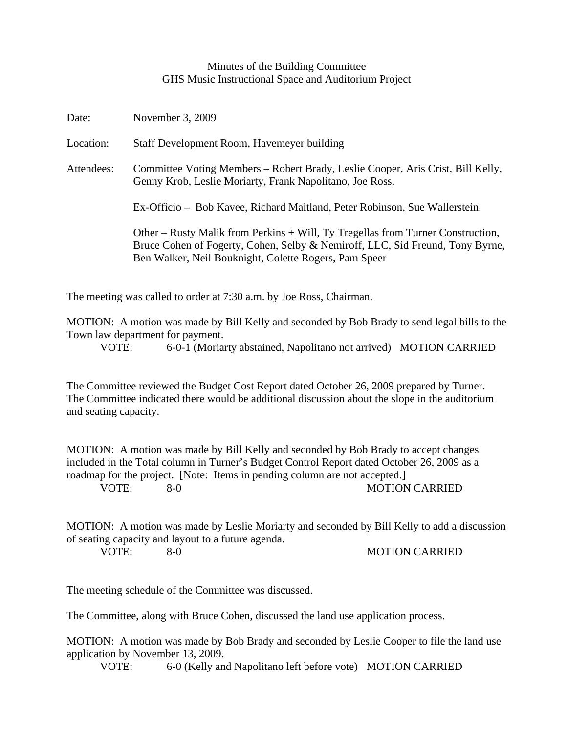## Minutes of the Building Committee GHS Music Instructional Space and Auditorium Project

| Date:      | November 3, 2009                                                                                                                                                                                                          |
|------------|---------------------------------------------------------------------------------------------------------------------------------------------------------------------------------------------------------------------------|
| Location:  | Staff Development Room, Havemeyer building                                                                                                                                                                                |
| Attendees: | Committee Voting Members – Robert Brady, Leslie Cooper, Aris Crist, Bill Kelly,<br>Genny Krob, Leslie Moriarty, Frank Napolitano, Joe Ross.                                                                               |
|            | Ex-Officio – Bob Kavee, Richard Maitland, Peter Robinson, Sue Wallerstein.                                                                                                                                                |
|            | Other – Rusty Malik from Perkins + Will, Ty Tregellas from Turner Construction,<br>Bruce Cohen of Fogerty, Cohen, Selby & Nemiroff, LLC, Sid Freund, Tony Byrne,<br>Ben Walker, Neil Bouknight, Colette Rogers, Pam Speer |

The meeting was called to order at 7:30 a.m. by Joe Ross, Chairman.

MOTION: A motion was made by Bill Kelly and seconded by Bob Brady to send legal bills to the Town law department for payment.

VOTE: 6-0-1 (Moriarty abstained, Napolitano not arrived) MOTION CARRIED

The Committee reviewed the Budget Cost Report dated October 26, 2009 prepared by Turner. The Committee indicated there would be additional discussion about the slope in the auditorium and seating capacity.

MOTION: A motion was made by Bill Kelly and seconded by Bob Brady to accept changes included in the Total column in Turner's Budget Control Report dated October 26, 2009 as a roadmap for the project. [Note: Items in pending column are not accepted.] VOTE: 8-0 MOTION CARRIED

MOTION: A motion was made by Leslie Moriarty and seconded by Bill Kelly to add a discussion of seating capacity and layout to a future agenda.

VOTE: 8-0 8-0 MOTION CARRIED

The meeting schedule of the Committee was discussed.

The Committee, along with Bruce Cohen, discussed the land use application process.

MOTION: A motion was made by Bob Brady and seconded by Leslie Cooper to file the land use application by November 13, 2009.

VOTE: 6-0 (Kelly and Napolitano left before vote) MOTION CARRIED